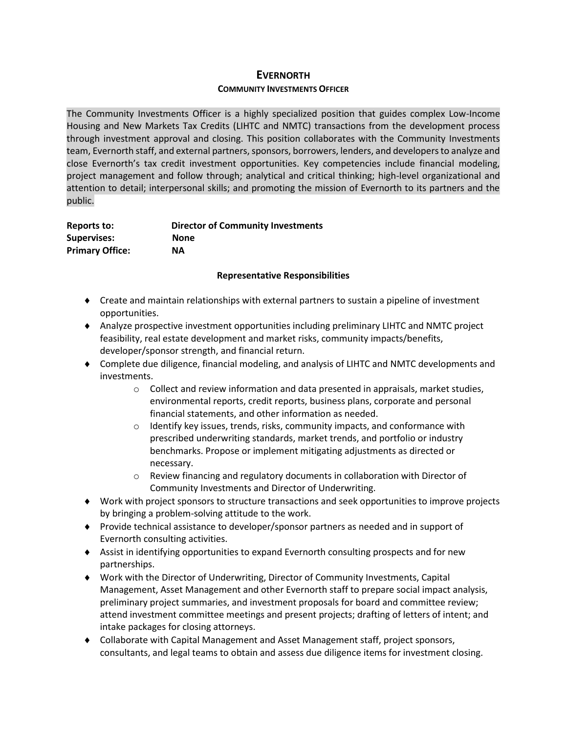# **EVERNORTH**

#### **COMMUNITY INVESTMENTS OFFICER**

The Community Investments Officer is a highly specialized position that guides complex Low-Income Housing and New Markets Tax Credits (LIHTC and NMTC) transactions from the development process through investment approval and closing. This position collaborates with the Community Investments team, Evernorth staff, and external partners, sponsors, borrowers, lenders, and developers to analyze and close Evernorth's tax credit investment opportunities. Key competencies include financial modeling, project management and follow through; analytical and critical thinking; high-level organizational and attention to detail; interpersonal skills; and promoting the mission of Evernorth to its partners and the public.

| Reports to:            | <b>Director of Community Investments</b> |
|------------------------|------------------------------------------|
| <b>Supervises:</b>     | None                                     |
| <b>Primary Office:</b> | <b>NA</b>                                |

#### **Representative Responsibilities**

- Create and maintain relationships with external partners to sustain a pipeline of investment opportunities.
- Analyze prospective investment opportunities including preliminary LIHTC and NMTC project feasibility, real estate development and market risks, community impacts/benefits, developer/sponsor strength, and financial return.
- Complete due diligence, financial modeling, and analysis of LIHTC and NMTC developments and investments.
	- $\circ$  Collect and review information and data presented in appraisals, market studies, environmental reports, credit reports, business plans, corporate and personal financial statements, and other information as needed.
	- $\circ$  Identify key issues, trends, risks, community impacts, and conformance with prescribed underwriting standards, market trends, and portfolio or industry benchmarks. Propose or implement mitigating adjustments as directed or necessary.
	- $\circ$  Review financing and regulatory documents in collaboration with Director of Community Investments and Director of Underwriting.
- Work with project sponsors to structure transactions and seek opportunities to improve projects by bringing a problem-solving attitude to the work.
- Provide technical assistance to developer/sponsor partners as needed and in support of Evernorth consulting activities.
- Assist in identifying opportunities to expand Evernorth consulting prospects and for new partnerships.
- Work with the Director of Underwriting, Director of Community Investments, Capital Management, Asset Management and other Evernorth staff to prepare social impact analysis, preliminary project summaries, and investment proposals for board and committee review; attend investment committee meetings and present projects; drafting of letters of intent; and intake packages for closing attorneys.
- Collaborate with Capital Management and Asset Management staff, project sponsors, consultants, and legal teams to obtain and assess due diligence items for investment closing.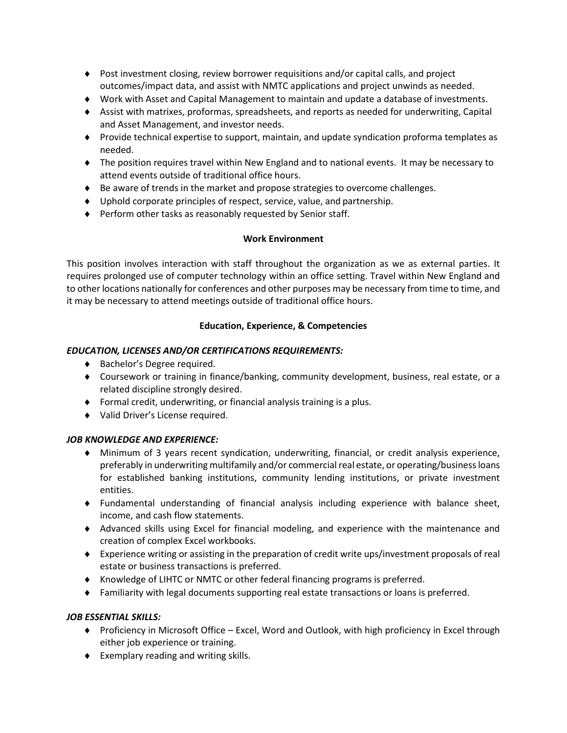- Post investment closing, review borrower requisitions and/or capital calls, and project outcomes/impact data, and assist with NMTC applications and project unwinds as needed.
- Work with Asset and Capital Management to maintain and update a database of investments.
- Assist with matrixes, proformas, spreadsheets, and reports as needed for underwriting, Capital and Asset Management, and investor needs.
- Provide technical expertise to support, maintain, and update syndication proforma templates as needed.
- The position requires travel within New England and to national events. It may be necessary to attend events outside of traditional office hours.
- Be aware of trends in the market and propose strategies to overcome challenges.
- Uphold corporate principles of respect, service, value, and partnership.
- Perform other tasks as reasonably requested by Senior staff.

# **Work Environment**

This position involves interaction with staff throughout the organization as we as external parties. It requires prolonged use of computer technology within an office setting. Travel within New England and to other locations nationally for conferences and other purposes may be necessary from time to time, and it may be necessary to attend meetings outside of traditional office hours.

### **Education, Experience, & Competencies**

### *EDUCATION, LICENSES AND/OR CERTIFICATIONS REQUIREMENTS:*

- ◆ Bachelor's Degree required.
- Coursework or training in finance/banking, community development, business, real estate, or a related discipline strongly desired.
- Formal credit, underwriting, or financial analysis training is a plus.
- Valid Driver's License required.

# *JOB KNOWLEDGE AND EXPERIENCE:*

- Minimum of 3 years recent syndication, underwriting, financial, or credit analysis experience, preferably in underwriting multifamily and/or commercial real estate, or operating/business loans for established banking institutions, community lending institutions, or private investment entities.
- Fundamental understanding of financial analysis including experience with balance sheet, income, and cash flow statements.
- Advanced skills using Excel for financial modeling, and experience with the maintenance and creation of complex Excel workbooks.
- Experience writing or assisting in the preparation of credit write ups/investment proposals of real estate or business transactions is preferred.
- Knowledge of LIHTC or NMTC or other federal financing programs is preferred.
- Familiarity with legal documents supporting real estate transactions or loans is preferred.

# *JOB ESSENTIAL SKILLS:*

- ◆ Proficiency in Microsoft Office Excel, Word and Outlook, with high proficiency in Excel through either job experience or training.
- Exemplary reading and writing skills.